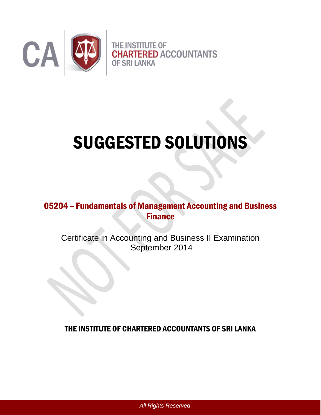

# SUGGESTED SOLUTIONS

# 05204 – Fundamentals of Management Accounting and Business Finance

Certificate in Accounting and Business II Examination September 2014

THE INSTITUTE OF CHARTERED ACCOUNTANTS OF SRI LANKA

*All Rights Reserved*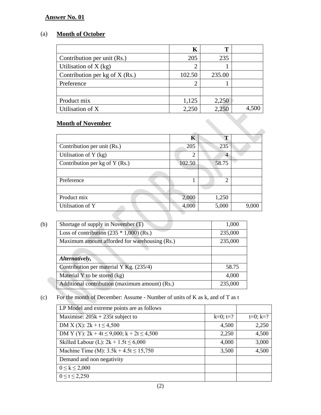# (a) **Month of October**

| K      | T      |       |
|--------|--------|-------|
| 205    | 235    |       |
| 2      |        |       |
| 102.50 | 235.00 |       |
| 2      |        |       |
|        |        |       |
| 1,125  | 2,250  |       |
| 2,250  | 2,250  | 4,500 |
|        |        |       |
|        |        |       |

# **Month of November**

|                                | Κ              | Т              |       |
|--------------------------------|----------------|----------------|-------|
| Contribution per unit (Rs.)    | 205            | 235            |       |
| Utilisation of Y (kg)          | $\overline{2}$ | 4              |       |
| Contribution per kg of Y (Rs.) | 102.50         | 58.75          |       |
|                                |                |                |       |
| Preference                     |                | $\overline{2}$ |       |
|                                |                |                |       |
| Product mix                    | 2,000          | 1,250          |       |
| Utilisation of Y               | 4,000          | 5,000          | 9,000 |
|                                |                |                |       |

| (b) | Shortage of supply in November (T)             | 1,000   |
|-----|------------------------------------------------|---------|
|     | Loss of contribution $(235 * 1,000)$ (Rs.)     | 235,000 |
|     | Maximum amount afforded for warehousing (Rs.)  | 235,000 |
|     |                                                |         |
|     | Alternatively,                                 |         |
|     | Contribution per material Y Kg. $(235/4)$      | 58.75   |
|     | Material Y to be stored $(kg)$                 | 4,000   |
|     | Additional contribution (maximum amount) (Rs.) | 235,000 |
|     |                                                |         |

# (c) For the month of December: Assume - Number of units of K as k, and of T as t

| LP Model and extreme points are as follows         |             |                |
|----------------------------------------------------|-------------|----------------|
| Maximise: $205k + 235t$ subject to                 | $k=0$ ; t=? | $t=0$ ; $k=$ ? |
| DM X (X): $2k + t \le 4,500$                       | 4,500       | 2,250          |
| DM Y (Y): $2k + 4t \le 9,000$ ; $k + 2t \le 4,500$ | 2,250       | 4,500          |
| Skilled Labour (L): $2k + 1.5t \le 6,000$          | 4,000       | 3,000          |
| Machine Time (M): $3.5k + 4.5t \le 15,750$         | 3,500       | 4,500          |
| Demand and non negativity                          |             |                |
| $0 \le k \le 2,000$                                |             |                |
| $0 \le t \le 2,250$                                |             |                |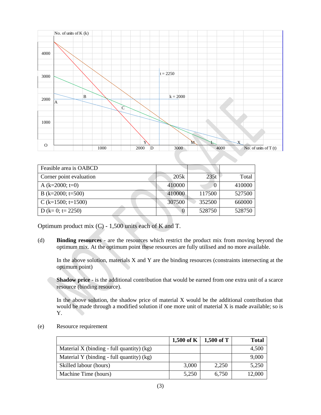

| Feasible area is OABCD  |          |        |        |
|-------------------------|----------|--------|--------|
| Corner point evaluation | 20.5k    | 235t   | Total  |
| A $(k=2000; t=0)$       | 410000   |        | 410000 |
| B (k=2000; t=500)       | 410000   | 117500 | 527500 |
| C (k=1500; t=1500)      | 307500   | 352500 | 660000 |
| D (k= 0; t= 2250)       | $\theta$ | 528750 | 528750 |

Optimum product mix (C) - 1,500 units each of K and T.

(d) **Binding resources** - are the resources which restrict the product mix from moving beyond the optimum mix. At the optimum point these resources are fully utilised and no more available.

In the above solution, materials X and Y are the binding resources (constraints intersecting at the optimum point)

**Shadow price** - is the additional contribution that would be earned from one extra unit of a scarce resource (binding resource).

In the above solution, the shadow price of material X would be the additional contribution that would be made through a modified solution if one more unit of material X is made available; so is Y.

(e) Resource requirement

|                                             | $1,500$ of K | $1,500$ of T | <b>Total</b> |
|---------------------------------------------|--------------|--------------|--------------|
| Material X (binding - full quantity) $(kg)$ |              |              | 4,500        |
| Material Y (binding - full quantity) (kg)   |              |              | 9,000        |
| Skilled labour (hours)                      | 3,000        | 2,250        | 5,250        |
| Machine Time (hours)                        | 5,250        | 6,750        | 12,000       |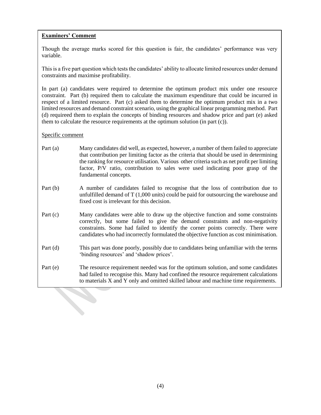# **Examiners' Comment**

Though the average marks scored for this question is fair, the candidates' performance was very variable.

This is a five part question which tests the candidates' ability to allocate limited resources under demand constraints and maximise profitability.

In part (a) candidates were required to determine the optimum product mix under one resource constraint. Part (b) required them to calculate the maximum expenditure that could be incurred in respect of a limited resource. Part (c) asked them to determine the optimum product mix in a two limited resources and demand constraint scenario, using the graphical linear programming method. Part (d) requireed them to explain the concepts of binding resources and shadow price and part (e) asked them to calculate the resource requirements at the optimum solution (in part (c)).

- Part (a) Many candidates did well, as expected, however, a number of them failed to appreciate that contribution per limiting factor as the criteria that should be used in determining the ranking for resource utilisation. Various other criteria such as net profit per limiting factor, P/V ratio, contribution to sales were used indicating poor grasp of the fundamental concepts.
- Part (b) A number of candidates failed to recognise that the loss of contribution due to unfulfilled demand of T (1,000 units) could be paid for outsourcing the warehouse and fixed cost is irrelevant for this decision.
- Part (c) Many candidates were able to draw up the objective function and some constraints correctly, but some failed to give the demand constraints and non-negativity constraints. Some had failed to identify the corner points correctly. There were candidates who had incorrectly formulated the objective function as cost minimisation.
- Part (d) This part was done poorly, possibly due to candidates being unfamiliar with the terms 'binding resources' and 'shadow prices'.
- Part (e) The resource requirement needed was for the optimum solution, and some candidates had failed to recognise this. Many had confined the resource requirement calculations to materials X and Y only and omitted skilled labour and machine time requirements.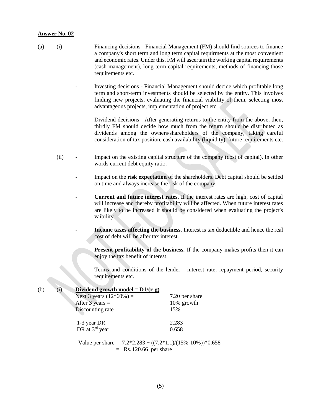- (a) (i) Financing decisions Financial Management (FM) should find sources to finance a company's short term and long term capital requirments at the most convenient and economic rates. Under this, FM will ascertain the working capital requirements (cash management), long term capital requirements, methods of financing those requirements etc.
	- Investing decisions Financial Management should decide which profitable long term and short-term investments should be selected by the entity. This involves finding new projects, evaluating the financial viability of them, selecting most advantageous projects, implementation of project etc.
	- Dividend decisions After generating returns to the entity from the above, then, thirdly FM should decide how much from the return should be distributed as dividends among the owners/shareholders of the company, taking careful consideration of tax position, cash availability (liquidity), future requirements etc.
	- (ii) Impact on the existing capital structure of the company (cost of capital). In other words current debt equity ratio.
		- Impact on the **risk expectation** of the shareholders. Debt capital should be settled on time and always increase the risk of the company.
		- **Current and future interest rates**. If the interest rates are high, cost of capital will increase and thereby profitability will be affected. When future interest rates are likely to be increased it should be considered when evaluating the project's vaibility.
			- **Income taxes affecting the business**. Interest is tax deductible and hence the real cost of debt will be after tax interest.

**Present profitability of the business.** If the company makes profits then it can enjoy the tax benefit of interest.

- Terms and conditions of the lender - interest rate, repayment period, security requirements etc.

| (b) | Dividend growth model = $D1/(r-g)$<br>(i) |                |
|-----|-------------------------------------------|----------------|
|     | Next 3 years $(12*60%) =$                 | 7.20 per share |
|     | After $3 \text{ years} =$                 | 10% growth     |
|     | Discounting rate                          | 15%            |
|     | 1-3 year DR                               | 2.283          |
|     | DR at 3 <sup>rd</sup> year                | 0.658          |

Value per share =  $7.2*2.283 + ((7.2*1.1)/(15\% \cdot 10\%)) * 0.658$  $=$  Rs. 120.66 per share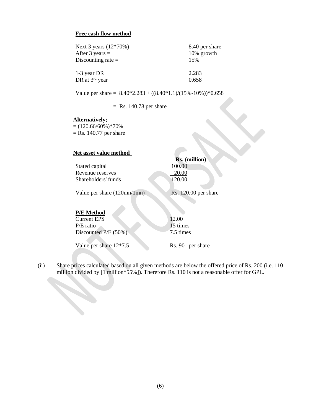#### **Free cash flow method**

| Next 3 years $(12*70%) =$<br>After 3 years $=$<br>Discounting rate $=$ | 8.40 per share<br>10% growth<br>15% |
|------------------------------------------------------------------------|-------------------------------------|
| 1-3 year DR                                                            | 2.283                               |
| DR at 3 <sup>rd</sup> year                                             | 0.658                               |

Value per share =  $8.40*2.283 + ((8.40*1.1)/(15\% \cdot 10\%))*0.658$ 

 $=$  Rs. 140.78 per share

#### **Alternatively;**

 $= (120.66/60\%)*70\%$  $=$  Rs. 140.77 per share

| Net asset value method                        |                      |
|-----------------------------------------------|----------------------|
|                                               | <b>Rs.</b> (million) |
| Stated capital                                | 100.00               |
| Revenue reserves                              | 20.00                |
| Shareholders' funds                           | 120.00               |
| Value per share $(120 \text{mn}/1 \text{mn})$ | Rs. 120.00 per share |
| <b>P/E</b> Method                             |                      |
| <b>Current EPS</b>                            | 12.00                |
| $P/E$ ratio                                   | 15 times             |
| Discounted $P/E(50%)$                         | 7.5 times            |

Value per share  $12*7.5$  Rs. 90 per share

(ii) Share prices calculated based on all given methods are below the offered price of Rs. 200 (i.e. 110 million divided by [1 million\*55%]). Therefore Rs. 110 is not a reasonable offer for GPL.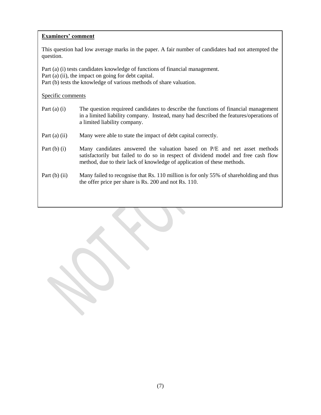# **Examiners' comment**

This question had low average marks in the paper. A fair number of candidates had not attempted the question.

Part (a) (i) tests candidates knowledge of functions of financial management.

Part (a) (ii), the impact on going for debt capital.

Part (b) tests the knowledge of various methods of share valuation.

- Part (a) (i) The question requireed candidates to describe the functions of financial management in a limited liability company. Instead, many had described the features/operations of a limited liability company.
- Part (a) (ii) Many were able to state the impact of debt capital correctly.
- Part (b) (i) Many candidates answered the valuation based on P/E and net asset methods satisfactorily but failed to do so in respect of dividend model and free cash flow method, due to their lack of knowledge of application of these methods.
- Part (b) (ii) Many failed to recognise that Rs. 110 million is for only 55% of shareholding and thus the offer price per share is Rs. 200 and not Rs. 110.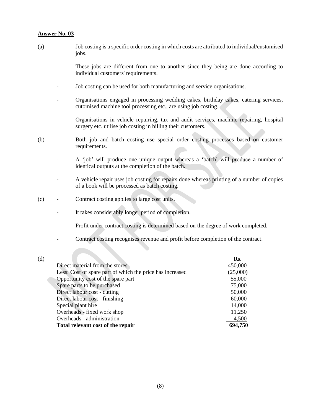- (a) Job costing is a specific order costing in which costs are attributed to individual/customised jobs.
	- These jobs are different from one to another since they being are done according to individual customers' requirements.
	- Job costing can be used for both manufacturing and service organisations.
	- Organisations engaged in processing wedding cakes, birthday cakes, catering services, cutomised machine tool processing etc., are using job costing.
	- Organisations in vehicle repairing, tax and audit services, machine repairing, hospital surgery etc. utilise job costing in billing their customers.
- (b) Both job and batch costing use special order costing processes based on customer requirements.
	- A 'job' will produce one unique output whereas a 'batch' will produce a number of identical outputs at the completion of the batch.
	- A vehicle repair uses job costing for repairs done whereas printing of a number of copies of a book will be processed as batch costing.
- (c) Contract costing applies to large cost units.
	- It takes considerably longer period of completion.
	- Profit under contract costing is determined based on the degree of work completed.
	- Contract costing recognises revenue and profit before completion of the contract.

| Rs.      |
|----------|
| 450,000  |
| (25,000) |
| 55,000   |
| 75,000   |
| 50,000   |
| 60,000   |
| 14,000   |
| 11,250   |
| 4,500    |
| 694,750  |
|          |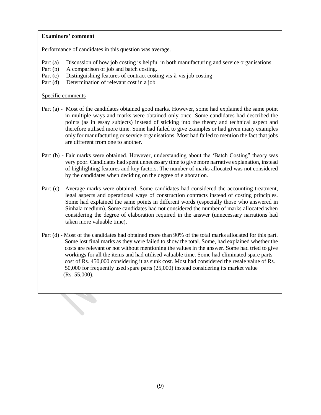# **Examiners' comment**

Performance of candidates in this question was average.

- Part (a) Discussion of how job costing is helpful in both manufacturing and service organisations.
- Part (b) A comparison of job and batch costing.
- Part (c) Distinguishing features of contract costing vis-à-vis job costing
- Part (d) Determination of relevant cost in a job

- Part (a) Most of the candidates obtained good marks. However, some had explained the same point in multiple ways and marks were obtained only once. Some candidates had described the points (as in essay subjects) instead of sticking into the theory and technical aspect and therefore utilised more time. Some had failed to give examples or had given many examples only for manufacturing or service organisations. Most had failed to mention the fact that jobs are different from one to another.
- Part (b) Fair marks were obtained. However, understanding about the 'Batch Costing" theory was very poor. Candidates had spent unnecessary time to give more narrative explanation, instead of highlighting features and key factors. The number of marks allocated was not considered by the candidates when deciding on the degree of elaboration.
- Part (c) Average marks were obtained. Some candidates had considered the accounting treatment, legal aspects and operational ways of construction contracts instead of costing principles. Some had explained the same points in different words (especially those who answered in Sinhala medium). Some candidates had not considered the number of marks allocated when considering the degree of elaboration required in the answer (unnecessary narrations had taken more valuable time).
- Part (d) Most of the candidates had obtained more than 90% of the total marks allocated for this part. Some lost final marks as they were failed to show the total. Some, had explained whether the costs are relevant or not without mentioning the values in the answer. Some had tried to give workings for all the items and had utilised valuable time. Some had eliminated spare parts cost of Rs. 450,000 considering it as sunk cost. Most had considered the resale value of Rs. 50,000 for frequently used spare parts (25,000) instead considering its market value (Rs. 55,000).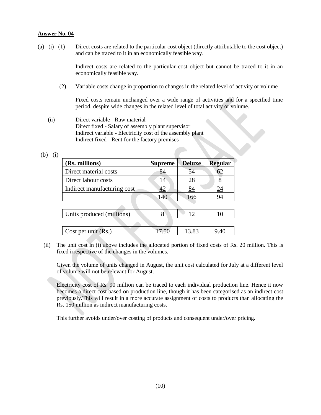(a) (i) (1) Direct costs are related to the particular cost object (directly attributable to the cost object) and can be traced to it in an economically feasible way.

> Indirect costs are related to the particular cost object but cannot be traced to it in an economically feasible way.

(2) Variable costs change in proportion to changes in the related level of activity or volume

Fixed costs remain unchanged over a wide range of activities and for a specified time period, despite wide changes in the related level of total activity or volume.

 (ii) Direct variable - Raw material Direct fixed - Salary of assembly plant supervisor Indirect variable - Electricity cost of the assembly plant Indirect fixed - Rent for the factory premises

| n |  |
|---|--|
|   |  |

| (Rs. millions)              | <b>Supreme</b> | <b>Deluxe</b> | <b>Regular</b>   |
|-----------------------------|----------------|---------------|------------------|
| Direct material costs       | 84             | 54            | 62               |
| Direct labour costs         | 14             | 28            | 8                |
| Indirect manufacturing cost | 42             | 84            | $\underline{24}$ |
|                             | 140            | 166           | 94               |
|                             |                |               |                  |
| Units produced (millions)   |                | 12            | 10               |
|                             |                |               |                  |
| Cost per unit $(Rs.)$       | 17.50          | 13.83         | 9.40             |

 (ii) The unit cost in (i) above includes the allocated portion of fixed costs of Rs. 20 million. This is fixed irrespective of the changes in the volumes.

Given the volume of units changed in August, the unit cost calculated for July at a different level of volume will not be relevant for August.

Electricity cost of Rs. 90 million can be traced to each individual production line. Hence it now becomes a direct cost based on production line, though it has been categorised as an indirect cost previously.This will result in a more accurate assignment of costs to products than allocating the Rs. 150 million as indirect manufacturing costs.

This further avoids under/over costing of products and consequent under/over pricing.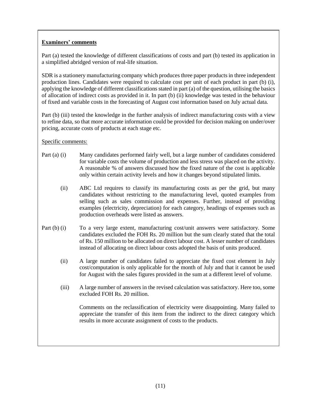# **Examiners' comments**

Part (a) tested the knowledge of different classifications of costs and part (b) tested its application in a simplified abridged version of real-life situation.

SDR is a stationery manufacturing company which produces three paper products in three independent production lines. Candidates were required to calculate cost per unit of each product in part (b) (i), applying the knowledge of different classifications stated in part (a) of the question, utilising the basics of allocation of indirect costs as provided in it. In part (b) (ii) knowledge was tested in the behaviour of fixed and variable costs in the forecasting of August cost information based on July actual data.

Part (b) (iii) tested the knowledge in the further analysis of indirect manufacturing costs with a view to refine data, so that more accurate information could be provided for decision making on under/over pricing, accurate costs of products at each stage etc.

# Specific comments:

- Part (a) (i) Many candidates performed fairly well, but a large number of candidates considered for variable costs the volume of production and less stress was placed on the activity. A reasonable % of answers discussed how the fixed nature of the cost is applicable only within certain activity levels and how it changes beyond stipulated limits.
	- (ii) ABC Ltd requires to classify its manufacturing costs as per the grid, but many candidates without restricting to the manufacturing level, quoted examples from selling such as sales commission and expenses. Further, instead of providing examples (electricity, depreciation) for each category, headings of expenses such as production overheads were listed as answers.
- Part (b) (i) To a very large extent, manufacturing cost/unit answers were satisfactory. Some candidates excluded the FOH Rs. 20 million but the sum clearly stated that the total of Rs. 150 million to be allocated on direct labour cost. A lesser number of candidates instead of allocating on direct labour costs adopted the basis of units produced.
	- (ii) A large number of candidates failed to appreciate the fixed cost element in July cost/computation is only applicable for the month of July and that it cannot be used for August with the sales figures provided in the sum at a different level of volume.
	- (iii) A large number of answers in the revised calculation was satisfactory. Here too, some excluded FOH Rs. 20 million.

Comments on the reclassification of electricity were disappointing. Many failed to appreciate the transfer of this item from the indirect to the direct category which results in more accurate assignment of costs to the products.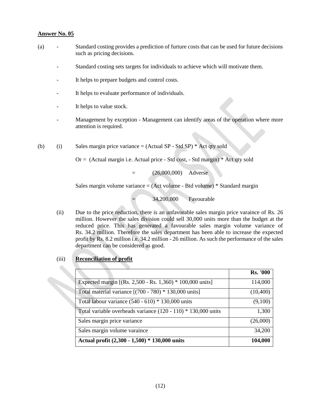- (a) Standard costing provides a prediction of furture costs that can be used for future decisions such as pricing decisions.
	- Standard costing sets targets for individuals to achieve which will motivate them.
	- It helps to prepare budgets and control costs.
	- It helps to evaluate performance of individuals.
	- It helps to value stock.
	- Management by exception Management can identify areas of the operation where more attention is required.
- (b) (i) Sales margin price variance  $=$  (Actual SP Std SP)  $*$  Act qty sold

 $Or = (Actual margin i.e. Actual price - Std cost, - Std margin) * Act qty sold$ 

= (26,000,000) Adverse

Sales margin volume variance  $=$  (Act volume - Btd volume)  $*$  Standard margin

= 34,200,000 Favourable

- (ii) Due to the price reduction, there is an unfavorable sales margin price varaince of Rs. 26 million. However the sales division could sell 30,000 units more than the budget at the reduced price. This has generated a favourable sales margin volume variance of Rs. 34.2 million. Therefore the sales department has been able to increase the expected profit by Rs. 8.2 million i.e. 34.2 million - 26 million. As such the performance of the sales department can be considered as good.
- (iii) **Reconciliation of profit**

|                                                                 | <b>Rs. '000</b> |
|-----------------------------------------------------------------|-----------------|
| Expected margin [(Rs. 2,500 - Rs. 1,360) * 100,000 units]       | 114,000         |
| Total material variance $[(700 - 780) * 130,000 \text{ units}]$ | (10,400)        |
| Total labour variance $(540 - 610) * 130,000$ units             | (9,100)         |
| Total variable overheads variance $(120 - 110) * 130,000$ units | 1,300           |
| Sales margin price variance                                     | (26,000)        |
| Sales margin volume varaince                                    | 34,200          |
| Actual profit (2,300 - 1,500) * 130,000 units                   | 104,000         |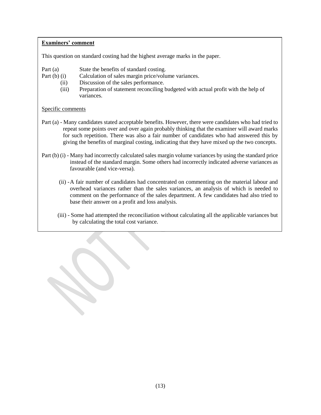# **Examiners' comment**

This question on standard costing had the highest average marks in the paper.

- Part (a) State the benefits of standard costing.
- Part (b) (i) Calculation of sales margin price/volume variances.
	- (ii) Discussion of the sales performance.
		- (iii) Preparation of statement reconciling budgeted with actual profit with the help of variances.

- Part (a) Many candidates stated acceptable benefits. However, there were candidates who had tried to repeat some points over and over again probably thinking that the examiner will award marks for such repetition. There was also a fair number of candidates who had answered this by giving the benefits of marginal costing, indicating that they have mixed up the two concepts.
- Part (b) (i) Many had incorrectly calculated sales margin volume variances by using the standard price instead of the standard margin. Some others had incorrectly indicated adverse variances as favourable (and vice-versa).
	- (ii) -A fair number of candidates had concentrated on commenting on the material labour and overhead variances rather than the sales variances, an analysis of which is needed to comment on the performance of the sales department. A few candidates had also tried to base their answer on a profit and loss analysis.
	- (iii) Some had attempted the reconciliation without calculating all the applicable variances but by calculating the total cost variance.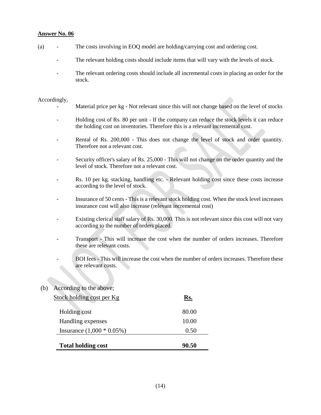- (a) The costs involving in EOQ model are holding/carrying cost and ordering cost.
	- The relevant holding costs should include items that will vary with the levels of stock.
	- The relevant ordering costs should include all incremental costs in placing an order for the stock.

#### Accordingly,

- Material price per kg Not relevant since this will not change based on the level of stocks
- Holding cost of Rs. 80 per unit If the company can reduce the stock levels it can reduce the holding cost on inventories. Therefore this is a relevant incremental cost.
- Rental of Rs. 200,000 This does not change the level of stock and order quantity. Therefore not a relevant cost.
- Security officer's salary of Rs. 25,000 This will not change on the order quantity and the level of stock. Therefore not a relevant cost.
- Rs. 10 per kg. stacking, handling etc. Relevant holding cost since these costs increase according to the level of stock.
- Insurance of 50 cents This is a relevant stock holding cost. When the stock level increases insurance cost will also increase (relevant incremental cost)
- Existing clerical staff salary of Rs. 30,000. This is not relevant since this cost will not vary according to the number of orders placed.
- Transport This will increase the cost when the number of orders increases. Therefore these are relevant costs.
	- BOI fees This will increase the cost when the number of orders increases. Therefore these are relevant costs.

# (b) According to the above;

| Stock holding cost per Kg   | Rs.   |
|-----------------------------|-------|
| Holding cost                | 80.00 |
| Handling expenses           | 10.00 |
| Insurance $(1,000 * 0.05%)$ | 0.50  |
| <b>Total holding cost</b>   | 90.50 |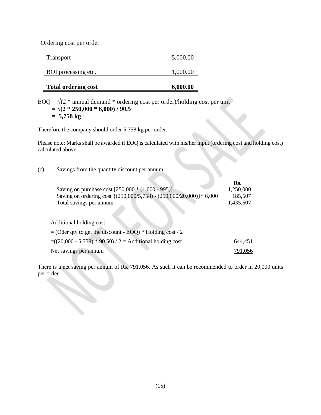Ordering cost per order

| <b>Total ordering cost</b> | 6,000.00 |
|----------------------------|----------|
| BOI processing etc.        | 1,000.00 |
| <b>Transport</b>           | 5,000.00 |

EOQ =  $\sqrt{(2 * \text{annual demand} * \text{ordering cost per order})}$ holding cost per unit  **= √(2 \* 250,000 \* 6,000) / 90.5 = 5,758 kg**

Therefore the company should order 5,758 kg per order.

Please note: Marks shall be awarded if EOQ is calculated with his/her input (ordering cost and holding cost) calculated above.

(c) Savings from the quantity discount per annum

|                                                                     | Rs.       |
|---------------------------------------------------------------------|-----------|
| Saving on purchase cost [250,000 * (1,000 - 995)]                   | 1,250,000 |
| Saving on ordering cost {(250,000/5,758) - (250,000/20,000)}* 6,000 | 185,507   |
| Total savings per annum                                             | 1,435,507 |
|                                                                     |           |
| Additional holding cost                                             |           |
| $=$ (Oder qty to get the discount - EOQ) * Holding cost / 2         |           |
| $=(20,000 - 5,758) * 90.50$ / 2 = Additional holding cost           | 644,451   |
| Net savings per annum                                               | 791.056   |

There is a net saving per annum of Rs. 791,056. As such it can be recommended to order in 20,000 units per order.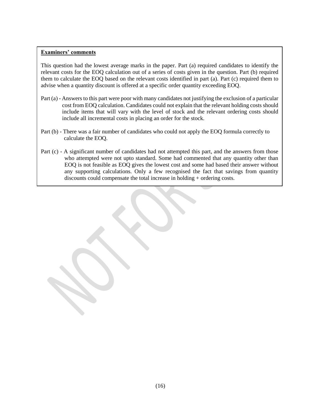#### **Examiners' comments**

This question had the lowest average marks in the paper. Part (a) required candidates to identify the relevant costs for the EOQ calculation out of a series of costs given in the question. Part (b) required them to calculate the EOQ based on the relevant costs identified in part (a). Part (c) required them to advise when a quantity discount is offered at a specific order quantity exceeding EOQ.

- Part (a) Answers to this part were poor with many candidates not justifying the exclusion of a particular cost from EOQ calculation. Candidates could not explain that the relevant holding costs should include items that will vary with the level of stock and the relevant ordering costs should include all incremental costs in placing an order for the stock.
- Part (b) There was a fair number of candidates who could not apply the EOQ formula correctly to calculate the EOQ.
- Part (c) A significant number of candidates had not attempted this part, and the answers from those who attempted were not upto standard. Some had commented that any quantity other than EOQ is not feasible as EOQ gives the lowest cost and some had based their answer without any supporting calculations. Only a few recognised the fact that savings from quantity discounts could compensate the total increase in holding + ordering costs.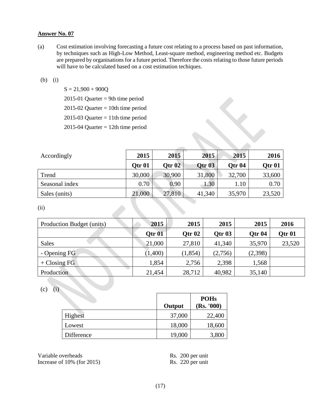(a) Cost estimation involving forecasting a future cost relating to a process based on past information, by techniques such as High-Low Method, Least-square method, engineering method etc. Budgets are prepared by organisations for a future period. Therefore the costs relating to those future periods will have to be calculated based on a cost estimation techiques.

#### (b) (i)

 $S = 21,900 + 900Q$ 

 $2015-01$  Quarter = 9th time period

 $2015-02$  Quarter = 10th time period

2015-03 Quarter  $= 11$ th time period

2015-04 Quarter  $= 12$ th time period

| Accordingly    | 2015              | 2015     | 2015          | 2015          | 2016   |
|----------------|-------------------|----------|---------------|---------------|--------|
|                | Otr <sub>01</sub> | Otr $02$ | <b>Otr 03</b> | <b>Otr 04</b> | Qtr 01 |
| Trend          | 30,000            | 30,900   | 31,800        | 32,700        | 33,600 |
| Seasonal index | 0.70              | 0.90     | 1.30          | 1.10          | 0.70   |
| Sales (units)  | 21,000            | 27,810   | 41,340        | 35,970        | 23,520 |

(ii)

| Production Budget (units) | 2015              | 2015          | 2015          | 2015          | 2016   |
|---------------------------|-------------------|---------------|---------------|---------------|--------|
|                           | Otr <sub>01</sub> | <b>Otr 02</b> | <b>Otr 03</b> | <b>Otr 04</b> | Qtr 01 |
| <b>Sales</b>              | 21,000            | 27,810        | 41,340        | 35,970        | 23,520 |
| - Opening FG              | (1,400)           | (1, 854)      | (2,756)       | (2,398)       |        |
| $+$ Closing FG            | 1,854             | 2,756         | 2,398         | 1,568         |        |
| Production                | 21,454            | 28,712        | 40,982        | 35,140        |        |

(c) (i)

|            | Output | <b>POHs</b><br>(Rs. '000) |
|------------|--------|---------------------------|
| Highest    | 37,000 | 22,400                    |
| Lowest     | 18,000 | 18,600                    |
| Difference | 19,000 | 3,800                     |

Variable overheads Rs. 200 per unit Increase of 10% (for 2015) Rs. 220 per unit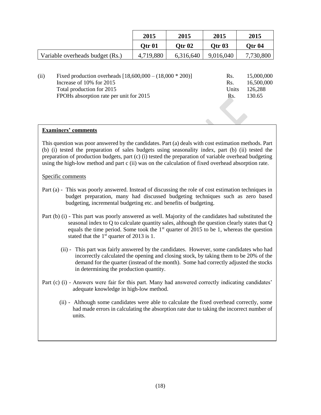|                                                                    | 2015          | 2015      | 2015              | 2015       |
|--------------------------------------------------------------------|---------------|-----------|-------------------|------------|
|                                                                    | <b>Otr 01</b> | Otr $02$  | Qtr <sub>03</sub> | Qtr 04     |
| Variable overheads budget (Rs.)                                    | 4,719,880     | 6,316,640 | 9,016,040         | 7,730,800  |
|                                                                    |               |           |                   |            |
| (ii)<br>Fixed production overheads $[18,600,000 - (18,000 * 200)]$ |               |           | Rs.               | 15,000,000 |
| Increase of 10% for 2015                                           |               |           | Rs.               | 16,500,000 |

Total production for 2015 Units 126,288

FPOHs absorption rate per unit for 2015 Rs. 130.65

# **Examiners' comments**

This question was poor answered by the candidates. Part (a) deals with cost estimation methods. Part (b) (i) tested the preparation of sales budgets using seasonality index, part (b) (ii) tested the preparation of production budgets, part (c) (i) tested the preparation of variable overhead budgeting using the high-low method and part c (ii) was on the calculation of fixed overhead absorption rate.

- Part (a) This was poorly answered. Instead of discussing the role of cost estimation techniques in budget preparation, many had discussed budgeting techniques such as zero based budgeting, incremental budgeting etc. and benefits of budgeting.
- Part (b) (i) This part was poorly answered as well. Majority of the candidates had substituted the seasonal index to Q to calculate quantity sales, although the question clearly states that Q equals the time period. Some took the  $1<sup>st</sup>$  quarter of 2015 to be 1, whereas the question stated that the 1<sup>st</sup> quarter of 2013 is 1.
	- (ii) This part was fairly answered by the candidates. However, some candidates who had incorrectly calculated the opening and closing stock, by taking them to be 20% of the demand for the quarter (instead of the month). Some had correctly adjusted the stocks in determining the production quantity.
- Part (c) (i) Answers were fair for this part. Many had answered correctly indicating candidates' adequate knowledge in high-low method.
	- (ii) Although some candidates were able to calculate the fixed overhead correctly, some had made errors in calculating the absorption rate due to taking the incorrect number of units.